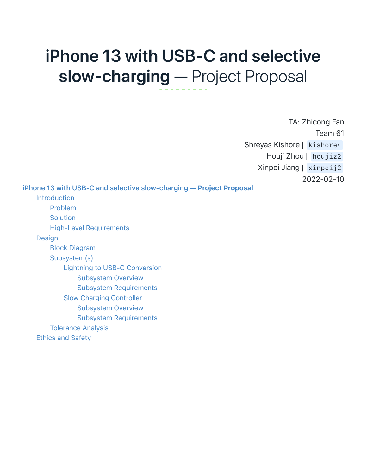# iPhone 13 with USB-C and selective slow-charging — Project Proposal

<span id="page-0-0"></span>TA: Zhicong Fan Team 61 Shreyas Kishore | kishore4 Houji Zhou | houjiz2 Xinpei Jiang | xinpeij2 2022-02-10

[iPhone 13 with USB-C and selective slow-charging](#page-0-0) — Project Proposal

[Introduction](#page-1-0) [Problem](#page-1-1) **[Solution](#page-1-2)** [High-Level Requirements](#page-2-0) [Design](#page-2-1) [Block Diagram](#page-2-2) [Subsystem\(s\)](#page-2-3) [Lightning to USB-C Conversion](#page-3-0) [Subsystem Overview](#page-3-1) [Subsystem Requirements](#page-3-2) [Slow Charging Controller](#page-3-3) [Subsystem Overview](#page-3-4) [Subsystem Requirements](#page-3-5) [Tolerance Analysis](#page-4-0) [Ethics and Safety](#page-4-1)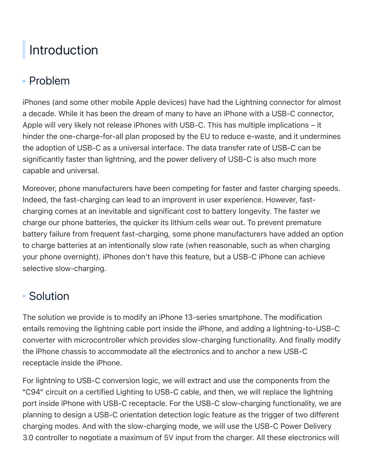## <span id="page-1-1"></span><span id="page-1-0"></span>Introduction

## Problem

iPhones (and some other mobile Apple devices) have had the Lightning connector for almost a decade. While it has been the dream of many to have an iPhone with a USB-C connector, Apple will very likely not release iPhones with USB-C. This has multiple implications – it hinder the one-charge-for-all plan proposed by the EU to reduce e-waste, and it undermines the adoption of USB-C as a universal interface. The data transfer rate of USB-C can be significantly faster than lightning, and the power delivery of USB-C is also much more capable and universal.

Moreover, phone manufacturers have been competing for faster and faster charging speeds. Indeed, the fast-charging can lead to an improvent in user experience. However, fastcharging comes at an inevitable and significant cost to battery longevity. The faster we charge our phone batteries, the quicker its lithium cells wear out. To prevent premature battery failure from frequent fast-charging, some phone manufacturers have added an option to charge batteries at an intentionally slow rate (when reasonable, such as when charging your phone overnight). iPhones don't have this feature, but a USB-C iPhone can achieve selective slow-charging.

### <span id="page-1-2"></span>• Solution

The solution we provide is to modify an iPhone 13-series smartphone. The modification entails removing the lightning cable port inside the iPhone, and adding a lightning-to-USB-C converter with microcontroller which provides slow-charging functionality. And finally modify the iPhone chassis to accommodate all the electronics and to anchor a new USB-C receptacle inside the iPhone.

For lightning to USB-C conversion logic, we will extract and use the components from the "C94" circuit on a certified Lighting to USB-C cable, and then, we will replace the lightning port inside iPhone with USB-C receptacle. For the USB-C slow-charging functionality, we are planning to design a USB-C orientation detection logic feature as the trigger of two different charging modes. And with the slow-charging mode, we will use the USB-C Power Delivery 3.0 controller to negotiate a maximum of 5V input from the charger. All these electronics will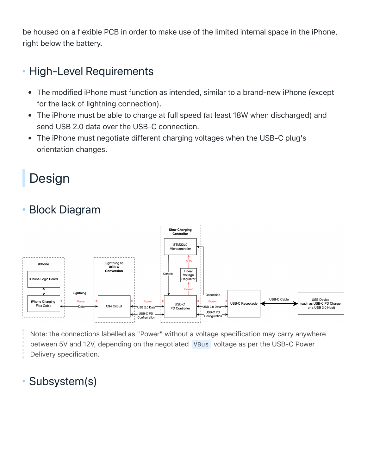be housed on a flexible PCB in order to make use of the limited internal space in the iPhone, right below the battery.

### High-Level Requirements

- <span id="page-2-0"></span>The modified iPhone must function as intended, similar to a brand-new iPhone (except  $\bullet$ for the lack of lightning connection).
- The iPhone must be able to charge at full speed (at least 18W when discharged) and send USB 2.0 data over the USB-C connection.
- The iPhone must negotiate different charging voltages when the USB-C plug's orientation changes.

## <span id="page-2-2"></span><span id="page-2-1"></span>Design

## Block Diagram



<span id="page-2-3"></span>Note: the connections labelled as "Power" without a voltage specification may carry anywhere between 5V and 12V, depending on the negotiated VBus voltage as per the USB-C Power Delivery specification.

### • Subsystem(s)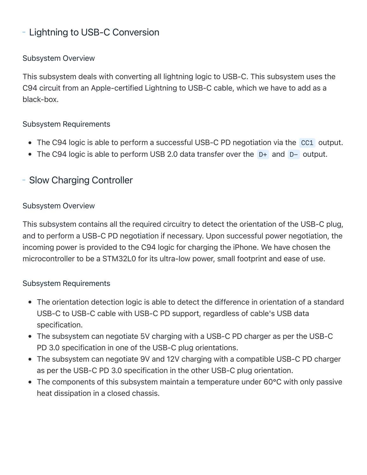#### <span id="page-3-0"></span>- Lightning to USB-C Conversion

#### <span id="page-3-1"></span>Subsystem Overview

This subsystem deals with converting all lightning logic to USB-C. This subsystem uses the C94 circuit from an Apple-certified Lightning to USB-C cable, which we have to add as a black-box.

#### Subsystem Requirements

- <span id="page-3-2"></span>• The C94 logic is able to perform a successful USB-C PD negotiation via the CC1 output.
- <span id="page-3-4"></span><span id="page-3-3"></span>• The C94 logic is able to perform USB 2.0 data transfer over the D+ and D- output.

#### - Slow Charging Controller

#### Subsystem Overview

This subsystem contains all the required circuitry to detect the orientation of the USB-C plug, and to perform a USB-C PD negotiation if necessary. Upon successful power negotiation, the incoming power is provided to the C94 logic for charging the iPhone. We have chosen the microcontroller to be a STM32L0 for its ultra-low power, small footprint and ease of use.

#### Subsystem Requirements

- <span id="page-3-5"></span>The orientation detection logic is able to detect the difference in orientation of a standard USB-C to USB-C cable with USB-C PD support, regardless of cable's USB data specification.
- The subsystem can negotiate 5V charging with a USB-C PD charger as per the USB-C PD 3.0 specification in one of the USB-C plug orientations.
- The subsystem can negotiate 9V and 12V charging with a compatible USB-C PD charger as per the USB-C PD 3.0 specification in the other USB-C plug orientation.
- The components of this subsystem maintain a temperature under 60°C with only passive heat dissipation in a closed chassis.